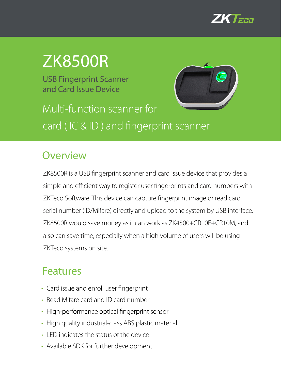

# ZK8500R

USB Fingerprint Scanner and Card Issue Device



Multi-function scanner for card ( IC & ID ) and fingerprint scanner

#### **Overview**

ZK8500R is a USB fingerprint scanner and card issue device that provides a simple and efficient way to register user fingerprints and card numbers with ZKTeco Software. This device can capture fingerprint image or read card serial number (ID/Mifare) directly and upload to the system by USB interface. ZK8500R would save money as it can work as ZK4500+CR10E+CR10M, and also can save time, especially when a high volume of users will be using ZKTeco systems on site.

### Features

- Card issue and enroll user fingerprint
- Read Mifare card and ID card number
- High-performance optical fingerprint sensor
- High quality industrial-class ABS plastic material
- LED indicates the status of the device
- Available SDK for further development